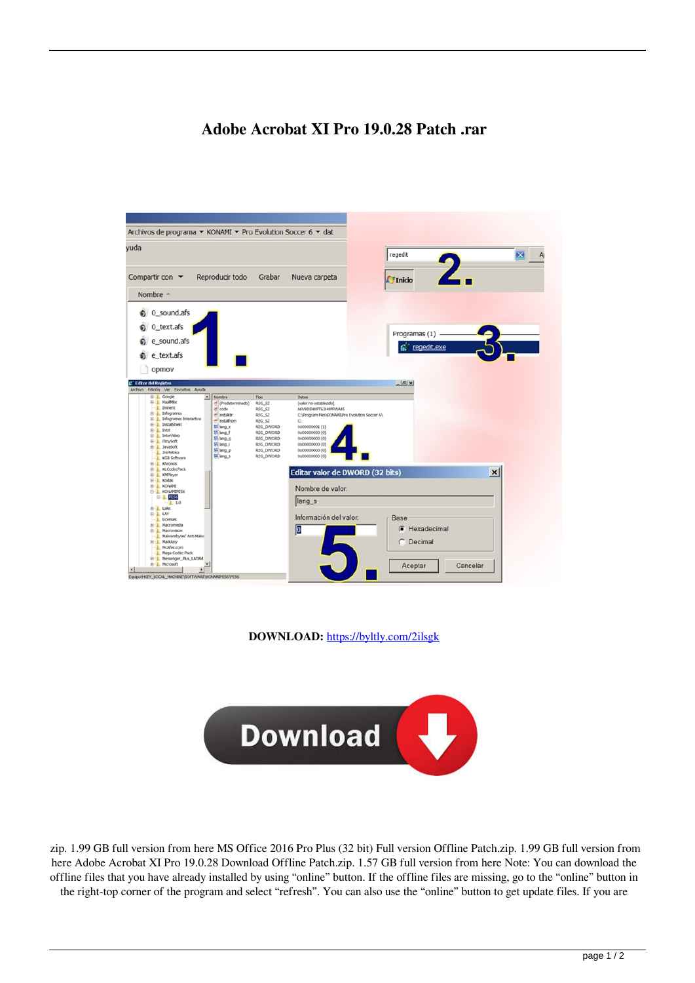## **Adobe Acrobat XI Pro 19.0.28 Patch .rar**

| Archivos de programa ▼ KONAMI ▼ Pro Evolution Soccer 6 ▼ dat                                                                                                                                                                                                                                                                                                                                                                                                                                                                                                                                                                                                                                   |                                                    |
|------------------------------------------------------------------------------------------------------------------------------------------------------------------------------------------------------------------------------------------------------------------------------------------------------------------------------------------------------------------------------------------------------------------------------------------------------------------------------------------------------------------------------------------------------------------------------------------------------------------------------------------------------------------------------------------------|----------------------------------------------------|
| yuda                                                                                                                                                                                                                                                                                                                                                                                                                                                                                                                                                                                                                                                                                           | regedit<br>$\vert x \vert$                         |
| Compartir con $\blacktriangledown$<br>Reproducir todo<br>Grabar<br>Nueva carpeta<br>Nombre $\triangle$                                                                                                                                                                                                                                                                                                                                                                                                                                                                                                                                                                                         | <b>T</b> Inicio                                    |
|                                                                                                                                                                                                                                                                                                                                                                                                                                                                                                                                                                                                                                                                                                |                                                    |
| $\bullet$ 0 sound.afs                                                                                                                                                                                                                                                                                                                                                                                                                                                                                                                                                                                                                                                                          |                                                    |
| 0_text.afs                                                                                                                                                                                                                                                                                                                                                                                                                                                                                                                                                                                                                                                                                     |                                                    |
| e_sound.afs                                                                                                                                                                                                                                                                                                                                                                                                                                                                                                                                                                                                                                                                                    | Programas (1)                                      |
|                                                                                                                                                                                                                                                                                                                                                                                                                                                                                                                                                                                                                                                                                                | ta regedit.exe                                     |
| e_text.afs                                                                                                                                                                                                                                                                                                                                                                                                                                                                                                                                                                                                                                                                                     |                                                    |
| opmov                                                                                                                                                                                                                                                                                                                                                                                                                                                                                                                                                                                                                                                                                          |                                                    |
| <b>E</b> Editor del Registro                                                                                                                                                                                                                                                                                                                                                                                                                                                                                                                                                                                                                                                                   | $\frac{1}{2}$                                      |
| Archivo Edición Ver Favoritos Ayuda                                                                                                                                                                                                                                                                                                                                                                                                                                                                                                                                                                                                                                                            |                                                    |
| E   HaalMkx<br>ab (Predeterminado)<br>REG_SZ<br>(valor no establecido)<br>- I Imment<br>ab code<br>REG_SZ<br>A6V9DSHXPT62H4PFWA4S<br><b>B</b> Infogrames<br>ab instaldir<br>REG SZ<br>Infogrames Interactive<br>田里<br>ab install rom<br>REG SZ<br>C:<br>InstallShield<br>田里<br>Ill lang_e<br>REG_DWORD<br>0x00000001(1)<br><sup>3</sup> L. Intel<br>Til lang f<br>REG_DWORD<br>0x00000000 (0)<br>8-1<br>InterVideo<br>til lang_g<br>REG_DWORD<br>0x00000000 (0)<br><b>E- I</b> iTinySoft<br><b>W</b> lang I<br>REG_DWORD<br>0x00000000 (0)<br><b>E</b> JavaSoft<br><b>W</b> lang_p<br>REG_DWORD<br>0x00000000 (0)<br>J. JreMetrics<br>Willing s<br>REG_DWORD<br>0x00000000 (0)<br>KGB Software | C:\Program Fles\KONAMI\Pro Evolution Soccer 6\     |
| E- Khronos<br>E KLCodecPack                                                                                                                                                                                                                                                                                                                                                                                                                                                                                                                                                                                                                                                                    | Editar valor de DWORD (32 bits)<br>$\vert x \vert$ |
| <b>KMPlayer</b><br>田 里<br>E L. Kodak                                                                                                                                                                                                                                                                                                                                                                                                                                                                                                                                                                                                                                                           |                                                    |
| G- L KONAMI<br>Nombre de valor:<br><b>B</b> KONAMIPES6                                                                                                                                                                                                                                                                                                                                                                                                                                                                                                                                                                                                                                         |                                                    |
| E-L PESS<br>lang_s<br>L1.0                                                                                                                                                                                                                                                                                                                                                                                                                                                                                                                                                                                                                                                                     |                                                    |
| G-1. Lake<br><b>B-L LAV</b>                                                                                                                                                                                                                                                                                                                                                                                                                                                                                                                                                                                                                                                                    |                                                    |
| L. Licenses<br>E Macromedia                                                                                                                                                                                                                                                                                                                                                                                                                                                                                                                                                                                                                                                                    | Información del valor.<br>Base                     |
| O<br>(ii) Macrovision<br>Malwarebytes' Anti-Malwa                                                                                                                                                                                                                                                                                                                                                                                                                                                                                                                                                                                                                                              | Hexadecimal<br>G                                   |
| E- MarkAny                                                                                                                                                                                                                                                                                                                                                                                                                                                                                                                                                                                                                                                                                     | Decimal                                            |
| - I. McAfee.com<br>- J., Mega Codec Pack                                                                                                                                                                                                                                                                                                                                                                                                                                                                                                                                                                                                                                                       |                                                    |
| E- Messenger_Plus_LATAM<br><b>E-</b> Microsoft                                                                                                                                                                                                                                                                                                                                                                                                                                                                                                                                                                                                                                                 | Cancelar<br>Aceptar                                |
| $\left  \cdot \right $<br>Equipo\HKEY_LOCAL_MACHINE\SOFTWARE\KONAMIPES6\PES6                                                                                                                                                                                                                                                                                                                                                                                                                                                                                                                                                                                                                   |                                                    |

**DOWNLOAD:** <https://byltly.com/2ilsgk>



 zip. 1.99 GB full version from here MS Office 2016 Pro Plus (32 bit) Full version Offline Patch.zip. 1.99 GB full version from here Adobe Acrobat XI Pro 19.0.28 Download Offline Patch.zip. 1.57 GB full version from here Note: You can download the offline files that you have already installed by using "online" button. If the offline files are missing, go to the "online" button in the right-top corner of the program and select "refresh". You can also use the "online" button to get update files. If you are